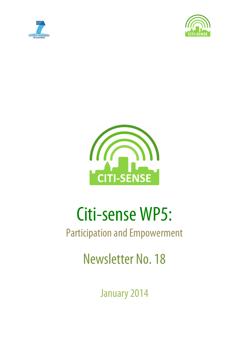





# Citi-sense WP5:

# Participation and Empowerment

Newsletter No. 18

January 2014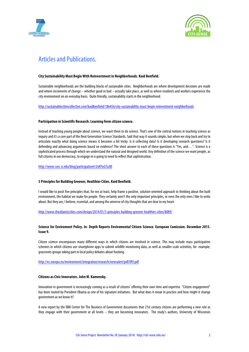



# Articles and Publications.

#### **City Sustainability Must Begin With Reinvestment in Neighborhoods. Kaid Benfield.**

Sustainable neighborhoods are the building blocks of sustainable cities. Neighborhoods are where development decisions are made and where increments of change – whether good or bad – actually take place, as well as where residents and workers experience the city environment on an everyday basis. Quite literally, sustainability starts in the neighborhood.

http://sustainablecitiescollective.com/kaidbenfield/186456/city-sustainability-must-begin-reinvestment-neighborhoods

#### **Participation in Scientific Research: Learning form citizen science.**

Instead of teaching young people about science, we want them to do science. That's one of the central notions in teaching science as inquiry and it's a core part of the Next Generation Science Standards. Said that way it sounds simple, but when we step back and try to articulate exactly what doing science means it becomes a bit tricky. Is it collecting data? Is it developing research questions? Is it defending and advancing arguments based on evidence? The short answer to each of these questions is "Yes, and…". Science is a sophisticated process through which we understand the natural and designed world. Any definition of the science we want people, as full citizens in our democracy, to engage in is going to need to reflect that sophistication.

http://www.ssec.si.edu/blog/participation#.UsKPuGTuJ8l

#### **5 Principles for Building Greener, Healthier Cities. Kaid Benfield.**

I would like to posit five principles that, for me at least, help frame a positive, solution-oriented approach to thinking about the built environment, the habitat we make for people. They certainly aren't the only important principles, or even the only ones I like to write about. But they are, I believe, essential, and among the universe of city thoughts that are dear to my heart.

http://www.theatlanticcities.com/design/2014/01/5-principles-building-greener-healthier-cities/8089/

#### **Science for Enviroment Policy. In- Depth Reports Enviromental Citizen Science. European Comission. December 2013. Issue 9.**

Citizen science encompasses many different ways in which citizens are involved in science. This may include mass participation schemes in which citizens use smartphone apps to submit wildlife monitoring data, as well as smaller-scale activities, for example, grassroots groups taking part in local policy debates about fracking.

http://ec.europa.eu/environment/integration/research/newsalert/pdf/IR9.pdf

#### **Citizens as Civic Innovators. John M. Kamensky.**

Innovation in government is increasingly coming as a result of citizens' offering their own time and expertise. "Citizen engagement" has been touted by President Obama as one of his signature initiatives. But what does it mean in practice and how might it change government as we know it?

A new report by the IBM Center for The Business of Government documents that 21st century citizens are performing a new role as they engage with their government at all levels – they are becoming innovators. The study's authors, University of Wisconsin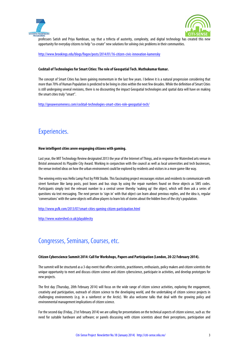



professors Satish and Priya Nambisan, say that a trifecta of austerity, complexity, and digital technology has created this new opportunity for everyday citizens to help "co-create" new solutions for solving civic problems in their communities.

http://www.brookings.edu/blogs/fixgov/posts/2014/01/16-citizen-civic-innovation-kamensky

#### **Cocktail of Technologies for Smart Cities: The role of Geospatial Tech. Muthukumar Kumar.**

The concept of Smart Cities has been gaining momentum in the last few years. I believe it is a natural progression considering that more than 70% of Human Population is predicted to be living in cities within the next few decades. While the definition of Smart Cities is still undergoing several revisions, there is no discounting the impact Geospatial technologies and spatial data will have on making the smart cities truly "smart".

http://geoawesomeness.com/cocktail-technologies-smart-cities-role-geospatial-tech/

## Experiencies.

#### **How intelligent cities arere enganging citizens with gaming.**

Last year, the MIT Technology Review designated 2013 the year of the Internet of Things, and in response the Watershed arts venue in Bristol announced its Playable City Award. Working in conjunction with the council as well as local universities and tech businesses, the venue invited ideas on how the urban environment could be explored by residents and visitors in a more game-like way.

The winning entry was Hello Lamp Post by PAN Studio. This fascinating project encourages visitors and residents to communicate with street furniture like lamp posts, post boxes and bus stops by using the repair numbers found on these objects as SMS codes. Participants simply text the relevant number to a central server thereby 'waking up' the object, which will then ask a series of questions via text messaging. The next person to 'sign in' with that object can learn about previous replies, and the idea is, regular 'conversations' with the same objects will allow players to learn lots of stories about the hidden lives of the city's population.

http://www.psfk.com/2013/07/smart-cities-gaming-citizen-participation.html

http://www.watershed.co.uk/playablecity

### Congresses, Seminars, Courses, etc.

#### **Citizen Cyberscience Summit 2014: Call for Workshops, Papers and Participation (London, 20-22 February 2014).**

The summit will be structured as a 3-day event that offers scientists, practitioners, enthusiasts, policy makers and citizen scientists the unique opportunity to meet and discuss citizen science and citizen cyberscience, participate in activities, and develop prototypes for new projects.

The first day (Thursday, 20th February 2014) will focus on the wide range of citizen science activities, exploring the engagement, creativity and participation, outreach of citizen science to the developing world, and the undertaking of citizen science projects in challenging environments (e.g. in a rainforest or the Arctic). We also welcome talks that deal with the growing policy and environmental management implications of citizen science.

For the second day (Friday, 21st February 2014) we are calling for presentations on the technical aspects of citizen science, such as: the need for suitable hardware and software; or panels discussing with citizen scientists about their perceptions, participation and